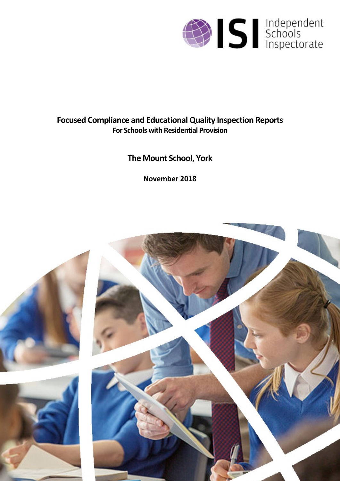

# **Focused Compliance and EducationalQuality Inspection Reports For Schools with Residential Provision**

# **The Mount School, York**

**November 2018**

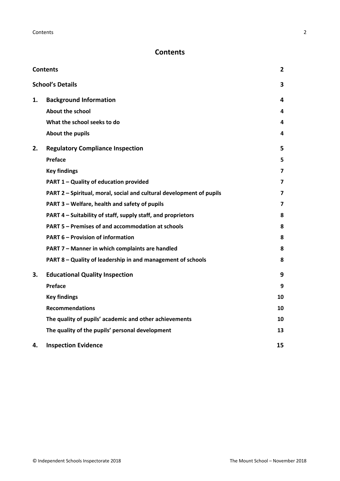## <span id="page-1-0"></span>**Contents**

| <b>Contents</b> |                                                                      | 2                       |
|-----------------|----------------------------------------------------------------------|-------------------------|
|                 | <b>School's Details</b>                                              | 3                       |
| 1.              | <b>Background Information</b>                                        | 4                       |
|                 | <b>About the school</b>                                              | 4                       |
|                 | What the school seeks to do                                          | 4                       |
|                 | About the pupils                                                     | 4                       |
| 2.              | <b>Regulatory Compliance Inspection</b>                              | 5                       |
|                 | <b>Preface</b>                                                       | 5                       |
|                 | <b>Key findings</b>                                                  | $\overline{\mathbf{z}}$ |
|                 | PART 1 - Quality of education provided                               | 7                       |
|                 | PART 2 - Spiritual, moral, social and cultural development of pupils | 7                       |
|                 | PART 3 - Welfare, health and safety of pupils                        | 7                       |
|                 | PART 4 – Suitability of staff, supply staff, and proprietors         | 8                       |
|                 | PART 5 - Premises of and accommodation at schools                    | 8                       |
|                 | <b>PART 6 - Provision of information</b>                             | 8                       |
|                 | PART 7 - Manner in which complaints are handled                      | 8                       |
|                 | PART 8 - Quality of leadership in and management of schools          | 8                       |
| 3.              | <b>Educational Quality Inspection</b>                                | 9                       |
|                 | Preface                                                              | 9                       |
|                 | <b>Key findings</b>                                                  | 10                      |
|                 | <b>Recommendations</b>                                               | 10                      |
|                 | The quality of pupils' academic and other achievements               | 10                      |
|                 | The quality of the pupils' personal development                      | 13                      |
| 4.              | <b>Inspection Evidence</b>                                           | 15                      |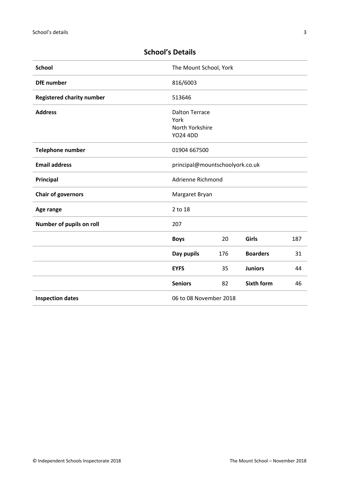| <b>School</b>                    | The Mount School, York          |     |                   |     |
|----------------------------------|---------------------------------|-----|-------------------|-----|
| <b>DfE</b> number                | 816/6003                        |     |                   |     |
| <b>Registered charity number</b> | 513646                          |     |                   |     |
| <b>Address</b>                   | <b>Dalton Terrace</b>           |     |                   |     |
|                                  | York                            |     |                   |     |
|                                  | North Yorkshire                 |     |                   |     |
|                                  | <b>YO24 4DD</b>                 |     |                   |     |
| <b>Telephone number</b>          | 01904 667500                    |     |                   |     |
| <b>Email address</b>             | principal@mountschoolyork.co.uk |     |                   |     |
| Principal                        | Adrienne Richmond               |     |                   |     |
| <b>Chair of governors</b>        | Margaret Bryan                  |     |                   |     |
| Age range                        | 2 to 18                         |     |                   |     |
| Number of pupils on roll         | 207                             |     |                   |     |
|                                  | <b>Boys</b>                     | 20  | Girls             | 187 |
|                                  | Day pupils                      | 176 | <b>Boarders</b>   | 31  |
|                                  | <b>EYFS</b>                     | 35  | <b>Juniors</b>    | 44  |
|                                  | <b>Seniors</b>                  | 82  | <b>Sixth form</b> | 46  |
| <b>Inspection dates</b>          | 06 to 08 November 2018          |     |                   |     |

## <span id="page-2-0"></span>**School's Details**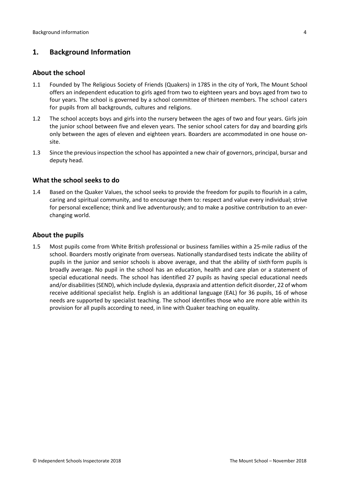## <span id="page-3-0"></span>**1. Background Information**

#### <span id="page-3-1"></span>**About the school**

- 1.1 Founded by The Religious Society of Friends (Quakers) in 1785 in the city of York, The Mount School offers an independent education to girls aged from two to eighteen years and boys aged from two to four years. The school is governed by a school committee of thirteen members. The school caters for pupils from all backgrounds, cultures and religions.
- 1.2 The school accepts boys and girls into the nursery between the ages of two and four years. Girls join the junior school between five and eleven years. The senior school caters for day and boarding girls only between the ages of eleven and eighteen years. Boarders are accommodated in one house onsite.
- 1.3 Since the previous inspection the school has appointed a new chair of governors, principal, bursar and deputy head.

#### <span id="page-3-2"></span>**What the school seeks to do**

1.4 Based on the Quaker Values, the school seeks to provide the freedom for pupils to flourish in a calm, caring and spiritual community, and to encourage them to: respect and value every individual; strive for personal excellence; think and live adventurously; and to make a positive contribution to an everchanging world.

#### <span id="page-3-3"></span>**About the pupils**

1.5 Most pupils come from White British professional or business families within a 25-mile radius of the school. Boarders mostly originate from overseas. Nationally standardised tests indicate the ability of pupils in the junior and senior schools is above average, and that the ability of sixthform pupils is broadly average. No pupil in the school has an education, health and care plan or a statement of special educational needs. The school has identified 27 pupils as having special educational needs and/or disabilities(SEND), which include dyslexia, dyspraxia and attention deficit disorder, 22 of whom receive additional specialist help. English is an additional language (EAL) for 36 pupils, 16 of whose needs are supported by specialist teaching. The school identifies those who are more able within its provision for all pupils according to need, in line with Quaker teaching on equality.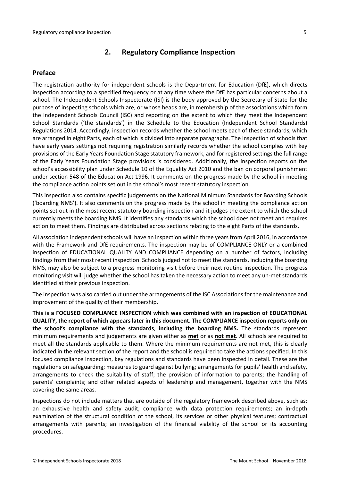#### <span id="page-4-0"></span>**2. Regulatory Compliance Inspection**

#### <span id="page-4-1"></span>**Preface**

The registration authority for independent schools is the Department for Education (DfE), which directs inspection according to a specified frequency or at any time where the DfE has particular concerns about a school. The Independent Schools Inspectorate (ISI) is the body approved by the Secretary of State for the purpose of inspecting schools which are, or whose heads are, in membership of the associations which form the Independent Schools Council (ISC) and reporting on the extent to which they meet the Independent School Standards ('the standards') in the Schedule to the Education (Independent School Standards) Regulations 2014. Accordingly, inspection records whether the school meets each of these standards, which are arranged in eight Parts, each of which is divided into separate paragraphs. The inspection of schools that have early years settings not requiring registration similarly records whether the school complies with key provisions of the Early Years Foundation Stage statutory framework, and for registered settings the full range of the Early Years Foundation Stage provisions is considered. Additionally, the inspection reports on the school's accessibility plan under Schedule 10 of the Equality Act 2010 and the ban on corporal punishment under section 548 of the Education Act 1996. It comments on the progress made by the school in meeting the compliance action points set out in the school's most recent statutory inspection.

This inspection also contains specific judgements on the National Minimum Standards for Boarding Schools ('boarding NMS'). It also comments on the progress made by the school in meeting the compliance action points set out in the most recent statutory boarding inspection and it judges the extent to which the school currently meets the boarding NMS. It identifies any standards which the school does not meet and requires action to meet them. Findings are distributed across sections relating to the eight Parts of the standards.

All association independent schools will have an inspection within three yearsfrom April 2016, in accordance with the Framework and DfE requirements. The inspection may be of COMPLIANCE ONLY or a combined inspection of EDUCATIONAL QUALITY AND COMPLIANCE depending on a number of factors, including findings from their most recent inspection. Schools judged not to meet the standards, including the boarding NMS, may also be subject to a progress monitoring visit before their next routine inspection. The progress monitoring visit will judge whether the school has taken the necessary action to meet any un-met standards identified at their previous inspection.

The inspection was also carried out under the arrangements of the ISC Associations for the maintenance and improvement of the quality of their membership.

**This is a FOCUSED COMPLIANCE INSPECTION which was combined with an inspection of EDUCATIONAL QUALITY, the report of which appears later in this document. The COMPLIANCE inspection reports only on the school's compliance with the standards**, **including the boarding NMS.** The standards represent minimum requirements and judgements are given either as **met** or as **not met**. All schools are required to meet all the standards applicable to them. Where the minimum requirements are not met, this is clearly indicated in the relevant section of the report and the school is required to take the actions specified. In this focused compliance inspection, key regulations and standards have been inspected in detail. These are the regulations on safeguarding; measures to guard against bullying; arrangements for pupils' health and safety, arrangements to check the suitability of staff; the provision of information to parents; the handling of parents' complaints; and other related aspects of leadership and management, together with the NMS covering the same areas.

Inspections do not include matters that are outside of the regulatory framework described above, such as: an exhaustive health and safety audit; compliance with data protection requirements; an in-depth examination of the structural condition of the school, its services or other physical features; contractual arrangements with parents; an investigation of the financial viability of the school or its accounting procedures.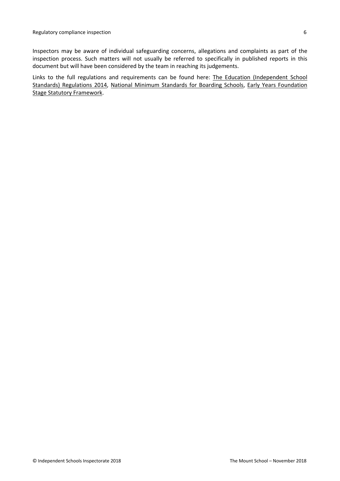Inspectors may be aware of individual safeguarding concerns, allegations and complaints as part of the inspection process. Such matters will not usually be referred to specifically in published reports in this document but will have been considered by the team in reaching its judgements.

Links to the full regulations and requirements can be found here: The Education [\(Independent](http://www.legislation.gov.uk/uksi/2014/3283/contents/made) School Standards) [Regulations](http://www.legislation.gov.uk/uksi/2014/3283/contents/made) 2014, National Minimum [Standards](https://www.gov.uk/government/uploads/system/uploads/attachment_data/file/416186/20150319_nms_bs_standards.pdf) for Boarding Schools, Early Years [Foundation](https://www.gov.uk/government/publications/early-years-foundation-stage-framework--2) Stage Statutory [Framework.](https://www.gov.uk/government/publications/early-years-foundation-stage-framework--2)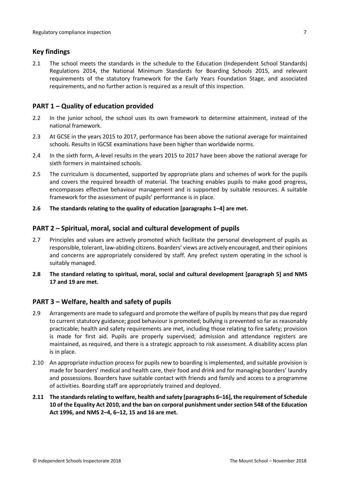### <span id="page-6-0"></span>**Key findings**

2.1 The school meets the standards in the schedule to the Education (Independent School Standards) Regulations 2014, the National Minimum Standards for Boarding Schools 2015, and relevant requirements of the statutory framework for the Early Years Foundation Stage, and associated requirements, and no further action is required as a result of this inspection.

## <span id="page-6-1"></span>**PART 1 – Quality of education provided**

- 2.2 In the junior school, the school uses its own framework to determine attainment, instead of the national framework.
- 2.3 At GCSE in the years 2015 to 2017, performance has been above the national average for maintained schools. Results in IGCSE examinations have been higher than worldwide norms.
- 2.4 In the sixth form, A-level results in the years 2015 to 2017 have been above the national average for sixth formers in maintained schools.
- 2.5 The curriculum is documented, supported by appropriate plans and schemes of work for the pupils and covers the required breadth of material. The teaching enables pupils to make good progress, encompasses effective behaviour management and is supported by suitable resources. A suitable framework for the assessment of pupils' performance is in place.
- **2.6 The standards relating to the quality of education [paragraphs 1–4] are met.**

#### <span id="page-6-2"></span>**PART 2 – Spiritual, moral, social and cultural development of pupils**

- 2.7 Principles and values are actively promoted which facilitate the personal development of pupils as responsible, tolerant, law-abiding citizens. Boarders' views are actively encouraged, and their opinions and concerns are appropriately considered by staff. Any prefect system operating in the school is suitably managed.
- **2.8 The standard relating to spiritual, moral, social and cultural development [paragraph 5] and NMS 17 and 19 are met.**

#### <span id="page-6-3"></span>**PART 3 – Welfare, health and safety of pupils**

- 2.9 Arrangements are made to safeguard and promote the welfare of pupils by means that pay due regard to current statutory guidance; good behaviour is promoted; bullying is prevented so far as reasonably practicable; health and safety requirements are met, including those relating to fire safety; provision is made for first aid. Pupils are properly supervised; admission and attendance registers are maintained, as required, and there is a strategic approach to risk assessment. A disability access plan is in place.
- 2.10 An appropriate induction process for pupils new to boarding is implemented, and suitable provision is made for boarders' medical and health care, their food and drink and for managing boarders' laundry and possessions. Boarders have suitable contact with friends and family and access to a programme of activities. Boarding staff are appropriately trained and deployed.
- **2.11 The standardsrelating to welfare, health and safety [paragraphs 6–16], the requirement of Schedule 10 of the Equality Act 2010, and the ban on corporal punishment undersection 548 of the Education Act 1996, and NMS 2–4, 6–12, 15 and 16 are met.**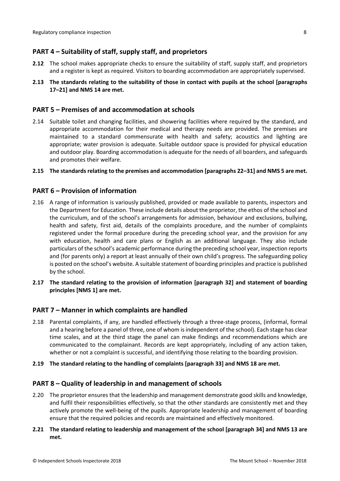### <span id="page-7-0"></span>**PART 4 – Suitability of staff, supply staff, and proprietors**

- **2.12** The school makes appropriate checks to ensure the suitability of staff, supply staff, and proprietors and a register is kept as required. Visitors to boarding accommodation are appropriately supervised.
- **2.13 The standards relating to the suitability of those in contact with pupils at the school [paragraphs 17–21] and NMS 14 are met.**

#### <span id="page-7-1"></span>**PART 5 – Premises of and accommodation at schools**

- 2.14 Suitable toilet and changing facilities, and showering facilities where required by the standard, and appropriate accommodation for their medical and therapy needs are provided. The premises are maintained to a standard commensurate with health and safety; acoustics and lighting are appropriate; water provision is adequate. Suitable outdoor space is provided for physical education and outdoor play. Boarding accommodation is adequate for the needs of all boarders, and safeguards and promotes their welfare.
- **2.15 The standardsrelating to the premises and accommodation [paragraphs 22–31] and NMS 5 are met.**

#### <span id="page-7-2"></span>**PART 6 – Provision of information**

- 2.16 A range of information is variously published, provided or made available to parents, inspectors and the Department for Education. These include details about the proprietor, the ethos of the school and the curriculum, and of the school's arrangements for admission, behaviour and exclusions, bullying, health and safety, first aid, details of the complaints procedure, and the number of complaints registered under the formal procedure during the preceding school year, and the provision for any with education, health and care plans or English as an additional language. They also include particulars of the school's academic performance during the preceding school year, inspection reports and (for parents only) a report at least annually of their own child's progress. The safeguarding policy is posted on the school's website. A suitable statement of boarding principles and practice is published by the school.
- **2.17 The standard relating to the provision of information [paragraph 32] and statement of boarding principles [NMS 1] are met.**

#### <span id="page-7-3"></span>**PART 7 – Manner in which complaints are handled**

- 2.18 Parental complaints, if any, are handled effectively through a three-stage process, (informal, formal and a hearing before a panel of three, one of whom isindependent of the school). Each stage has clear time scales, and at the third stage the panel can make findings and recommendations which are communicated to the complainant. Records are kept appropriately, including of any action taken, whether or not a complaint is successful, and identifying those relating to the boarding provision.
- **2.19 The standard relating to the handling of complaints [paragraph 33] and NMS 18 are met.**

#### <span id="page-7-4"></span>**PART 8 – Quality of leadership in and management of schools**

- 2.20 The proprietor ensures that the leadership and management demonstrate good skills and knowledge, and fulfil their responsibilities effectively, so that the other standards are consistently met and they actively promote the well-being of the pupils. Appropriate leadership and management of boarding ensure that the required policies and records are maintained and effectively monitored.
- **2.21 The standard relating to leadership and management of the school [paragraph 34] and NMS 13 are met.**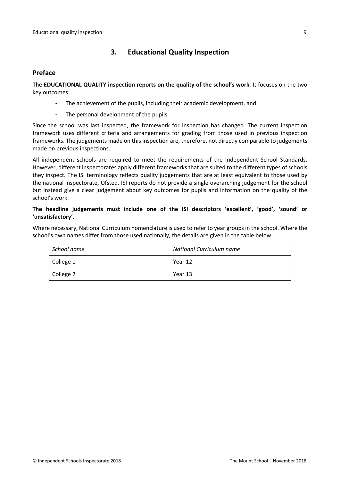## <span id="page-8-0"></span>**3. Educational Quality Inspection**

#### <span id="page-8-1"></span>**Preface**

**The EDUCATIONAL QUALITY inspection reports on the quality of the school's work**. It focuses on the two key outcomes:

- The achievement of the pupils, including their academic development, and
- The personal development of the pupils.

Since the school was last inspected, the framework for inspection has changed. The current inspection framework uses different criteria and arrangements for grading from those used in previous inspection frameworks. The judgements made on this inspection are, therefore, not directly comparable to judgements made on previous inspections.

All independent schools are required to meet the requirements of the Independent School Standards. However, different inspectorates apply different frameworks that are suited to the different types of schools they inspect. The ISI terminology reflects quality judgements that are at least equivalent to those used by the national inspectorate, Ofsted. ISI reports do not provide a single overarching judgement for the school but instead give a clear judgement about key outcomes for pupils and information on the quality of the school's work.

#### **The headline judgements must include one of the ISI descriptors 'excellent', 'good', 'sound' or 'unsatisfactory'.**

Where necessary, National Curriculum nomenclature is used to refer to year groups in the school. Where the school's own names differ from those used nationally, the details are given in the table below:

| School name | National Curriculum name |  |  |
|-------------|--------------------------|--|--|
| College 1   | Year 12                  |  |  |
| College 2   | Year 13                  |  |  |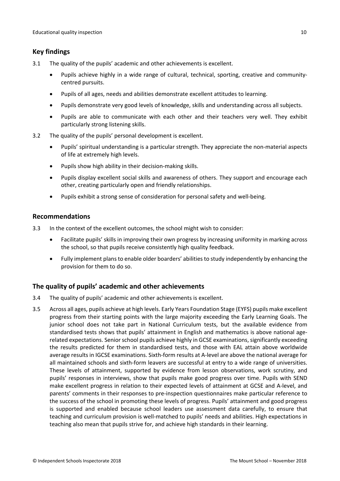## <span id="page-9-0"></span>**Key findings**

- 3.1 The quality of the pupils' academic and other achievements is excellent.
	- Pupils achieve highly in a wide range of cultural, technical, sporting, creative and communitycentred pursuits.
	- Pupils of all ages, needs and abilities demonstrate excellent attitudes to learning.
	- Pupils demonstrate very good levels of knowledge, skills and understanding across all subjects.
	- Pupils are able to communicate with each other and their teachers very well. They exhibit particularly strong listening skills.
- 3.2 The quality of the pupils' personal development is excellent.
	- Pupils' spiritual understanding is a particular strength. They appreciate the non-material aspects of life at extremely high levels.
	- Pupils show high ability in their decision-making skills.
	- Pupils display excellent social skills and awareness of others. They support and encourage each other, creating particularly open and friendly relationships.
	- Pupils exhibit a strong sense of consideration for personal safety and well-being.

#### <span id="page-9-1"></span>**Recommendations**

- 3.3 In the context of the excellent outcomes, the school might wish to consider:
	- Facilitate pupils' skills in improving their own progress by increasing uniformity in marking across the school, so that pupils receive consistently high quality feedback.
	- Fully implement plansto enable older boarders' abilitiesto study independently by enhancing the provision for them to do so.

## <span id="page-9-2"></span>**The quality of pupils' academic and other achievements**

- 3.4 The quality of pupils' academic and other achievements is excellent.
- 3.5 Across all ages, pupils achieve at high levels. Early Years Foundation Stage (EYFS) pupils make excellent progress from their starting points with the large majority exceeding the Early Learning Goals. The junior school does not take part in National Curriculum tests, but the available evidence from standardised tests shows that pupils' attainment in English and mathematics is above national agerelated expectations. Senior school pupils achieve highly in GCSE examinations, significantly exceeding the results predicted for them in standardised tests, and those with EAL attain above worldwide average results in IGCSE examinations. Sixth-form results at A-level are above the national average for all maintained schools and sixth-form leavers are successful at entry to a wide range of universities. These levels of attainment, supported by evidence from lesson observations, work scrutiny, and pupils' responses in interviews, show that pupils make good progress over time. Pupils with SEND make excellent progress in relation to their expected levels of attainment at GCSE and A-level, and parents' comments in their responses to pre-inspection questionnaires make particular reference to the success of the school in promoting these levels of progress. Pupils' attainment and good progress is supported and enabled because school leaders use assessment data carefully, to ensure that teaching and curriculum provision is well-matched to pupils' needs and abilities. High expectations in teaching also mean that pupils strive for, and achieve high standards in their learning.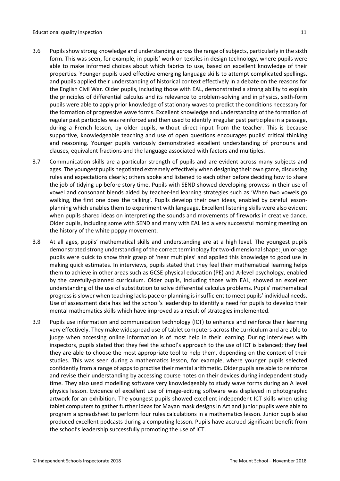- 3.6 Pupilsshow strong knowledge and understanding acrossthe range ofsubjects, particularly in the sixth form. This was seen, for example, in pupils' work on textiles in design technology, where pupils were able to make informed choices about which fabrics to use, based on excellent knowledge of their properties. Younger pupils used effective emerging language skills to attempt complicated spellings, and pupils applied their understanding of historical context effectively in a debate on the reasons for the English Civil War. Older pupils, including those with EAL, demonstrated a strong ability to explain the principles of differential calculus and its relevance to problem-solving and in physics, sixth-form pupils were able to apply prior knowledge of stationary waves to predict the conditions necessary for the formation of progressive wave forms. Excellent knowledge and understanding of the formation of regular past participles was reinforced and then used to identify irregular past participles in a passage, during a French lesson, by older pupils, without direct input from the teacher. This is because supportive, knowledgeable teaching and use of open questions encourages pupils' critical thinking and reasoning. Younger pupils variously demonstrated excellent understanding of pronouns and clauses, equivalent fractions and the language associated with factors and multiples.
- 3.7 Communication skills are a particular strength of pupils and are evident across many subjects and ages. The youngest pupils negotiated extremely effectively when designing their own game, discussing rules and expectations clearly; others spoke and listened to each other before deciding how to share the job of tidying up before story time. Pupils with SEND showed developing prowess in their use of vowel and consonant blends aided by teacher-led learning strategies such as 'When two vowels go walking, the first one does the talking'. Pupils develop their own ideas, enabled by careful lessonplanning which enables them to experiment with language. Excellent listening skills were also evident when pupils shared ideas on interpreting the sounds and movements of fireworks in creative dance. Older pupils, including some with SEND and many with EAL led a very successful morning meeting on the history of the white poppy movement.
- 3.8 At all ages, pupils' mathematical skills and understanding are at a high level. The youngest pupils demonstrated strong understanding of the correct terminology for two-dimensionalshape; junior-age pupils were quick to show their grasp of 'near multiples' and applied this knowledge to good use in making quick estimates. In interviews, pupils stated that they feel their mathematical learning helps them to achieve in other areas such as GCSE physical education (PE) and A-level psychology, enabled by the carefully-planned curriculum. Older pupils, including those with EAL, showed an excellent understanding of the use of substitution to solve differential calculus problems. Pupils' mathematical progressisslower when teaching lacks pace or planning isinsufficient to meet pupils' individual needs. Use of assessment data has led the school's leadership to identify a need for pupils to develop their mental mathematics skills which have improved as a result of strategies implemented.
- 3.9 Pupils use information and communication technology (ICT) to enhance and reinforce their learning very effectively. They make widespread use of tablet computers across the curriculum and are able to judge when accessing online information is of most help in their learning. During interviews with inspectors, pupils stated that they feel the school's approach to the use of ICT is balanced; they feel they are able to choose the most appropriate tool to help them, depending on the context of their studies. This was seen during a mathematics lesson, for example, where younger pupils selected confidently from a range of apps to practise their mental arithmetic. Older pupils are able to reinforce and revise their understanding by accessing course notes on their devices during independent study time. They also used modelling software very knowledgeably to study wave forms during an A level physics lesson. Evidence of excellent use of image-editing software was displayed in photographic artwork for an exhibition. The youngest pupils showed excellent independent ICT skills when using tablet computers to gather further ideas for Mayan mask designs in Art and junior pupils were able to program a spreadsheet to perform four rules calculations in a mathematics lesson. Junior pupils also produced excellent podcasts during a computing lesson. Pupils have accrued significant benefit from the school's leadership successfully promoting the use of ICT.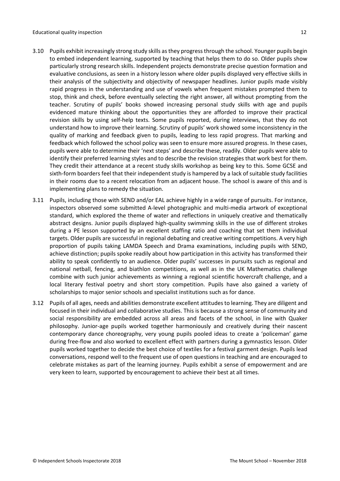- 3.10 Pupils exhibit increasingly strong study skills asthey progressthrough the school. Younger pupils begin to embed independent learning, supported by teaching that helps them to do so. Older pupils show particularly strong research skills. Independent projects demonstrate precise question formation and evaluative conclusions, as seen in a history lesson where older pupils displayed very effective skills in their analysis of the subjectivity and objectivity of newspaper headlines. Junior pupils made visibly rapid progress in the understanding and use of vowels when frequent mistakes prompted them to stop, think and check, before eventually selecting the right answer, all without prompting from the teacher. Scrutiny of pupils' books showed increasing personal study skills with age and pupils evidenced mature thinking about the opportunities they are afforded to improve their practical revision skills by using self-help texts. Some pupils reported, during interviews, that they do not understand how to improve their learning. Scrutiny of pupils' work showed some inconsistency in the quality of marking and feedback given to pupils, leading to less rapid progress. That marking and feedback which followed the school policy was seen to ensure more assured progress. In these cases, pupils were able to determine their 'next steps' and describe these, readily. Older pupils were able to identify their preferred learning styles and to describe the revision strategies that work best for them. They credit their attendance at a recent study skills workshop as being key to this. Some GCSE and sixth-form boarders feel that their independent study is hampered by a lack of suitable study facilities in their rooms due to a recent relocation from an adjacent house. The school is aware of this and is implementing plans to remedy the situation.
- 3.11 Pupils, including those with SEND and/or EAL achieve highly in a wide range of pursuits. For instance, inspectors observed some submitted A-level photographic and multi-media artwork of exceptional standard, which explored the theme of water and reflections in uniquely creative and thematically abstract designs. Junior pupils displayed high-quality swimming skills in the use of different strokes during a PE lesson supported by an excellent staffing ratio and coaching that set them individual targets. Older pupils are successful in regional debating and creative writing competitions. A very high proportion of pupils taking LAMDA Speech and Drama examinations, including pupils with SEND, achieve distinction; pupils spoke readily about how participation in this activity has transformed their ability to speak confidently to an audience. Older pupils' successes in pursuits such as regional and national netball, fencing, and biathlon competitions, as well as in the UK Mathematics challenge combine with such junior achievements as winning a regional scientific hovercraft challenge, and a local literary festival poetry and short story competition. Pupils have also gained a variety of scholarships to major senior schools and specialist institutions such as for dance.
- 3.12 Pupils of all ages, needs and abilities demonstrate excellent attitudesto learning. They are diligent and focused in their individual and collaborative studies. This is because a strong sense of community and social responsibility are embedded across all areas and facets of the school, in line with Quaker philosophy. Junior-age pupils worked together harmoniously and creatively during their nascent contemporary dance choreography, very young pupils pooled ideas to create a 'policeman' game during free-flow and also worked to excellent effect with partners during a gymnastics lesson. Older pupils worked together to decide the best choice of textiles for a festival garment design. Pupils lead conversations, respond well to the frequent use of open questions in teaching and are encouraged to celebrate mistakes as part of the learning journey. Pupils exhibit a sense of empowerment and are very keen to learn, supported by encouragement to achieve their best at all times.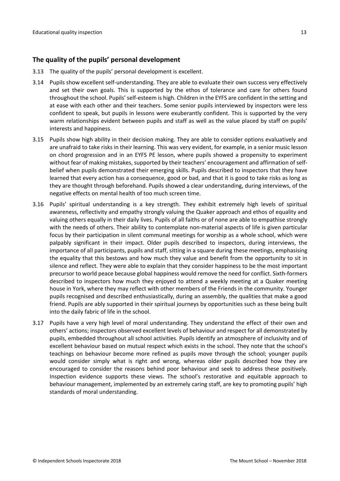#### <span id="page-12-0"></span>**The quality of the pupils' personal development**

- 3.13 The quality of the pupils' personal development is excellent.
- 3.14 Pupils show excellent self-understanding. They are able to evaluate their own success very effectively and set their own goals. This is supported by the ethos of tolerance and care for others found throughout the school. Pupils'self-esteem is high. Children in the EYFS are confident in the setting and at ease with each other and their teachers. Some senior pupils interviewed by inspectors were less confident to speak, but pupils in lessons were exuberantly confident. This is supported by the very warm relationships evident between pupils and staff as well as the value placed by staff on pupils' interests and happiness.
- 3.15 Pupils show high ability in their decision making. They are able to consider options evaluatively and are unafraid to take risks in their learning. This was very evident, for example, in a senior music lesson on chord progression and in an EYFS PE lesson, where pupils showed a propensity to experiment without fear of making mistakes, supported by their teachers' encouragement and affirmation of selfbelief when pupils demonstrated their emerging skills. Pupils described to inspectors that they have learned that every action has a consequence, good or bad, and that it is good to take risks as long as they are thought through beforehand. Pupils showed a clear understanding, during interviews, of the negative effects on mental health of too much screen time.
- 3.16 Pupils' spiritual understanding is a key strength. They exhibit extremely high levels of spiritual awareness, reflectivity and empathy strongly valuing the Quaker approach and ethos of equality and valuing others equally in their daily lives. Pupils of all faiths or of none are able to empathise strongly with the needs of others. Their ability to contemplate non-material aspects of life is given particular focus by their participation in silent communal meetings for worship as a whole school, which were palpably significant in their impact. Older pupils described to inspectors, during interviews, the importance of all participants, pupils and staff, sitting in a square during these meetings, emphasising the equality that this bestows and how much they value and benefit from the opportunity to sit in silence and reflect. They were able to explain that they consider happiness to be the most important precursor to world peace because global happiness would remove the need for conflict. Sixth-formers described to inspectors how much they enjoyed to attend a weekly meeting at a Quaker meeting house in York, where they may reflect with other members of the Friends in the community. Younger pupils recognised and described enthusiastically, during an assembly, the qualities that make a good friend. Pupils are ably supported in their spiritual journeys by opportunities such as these being built into the daily fabric of life in the school.
- 3.17 Pupils have a very high level of moral understanding. They understand the effect of their own and others' actions; inspectors observed excellent levels of behaviour and respect for all demonstrated by pupils, embedded throughout all school activities. Pupils identify an atmosphere of inclusivity and of excellent behaviour based on mutual respect which exists in the school. They note that the school's teachings on behaviour become more refined as pupils move through the school; younger pupils would consider simply what is right and wrong, whereas older pupils described how they are encouraged to consider the reasons behind poor behaviour and seek to address these positively. Inspection evidence supports these views. The school's restorative and equitable approach to behaviour management, implemented by an extremely caring staff, are key to promoting pupils' high standards of moral understanding.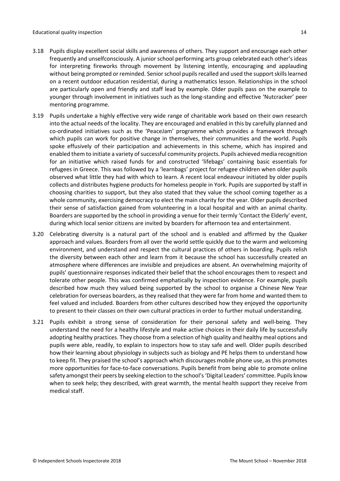- 3.18 Pupils display excellent social skills and awareness of others. They support and encourage each other frequently and unselfconsciously. A junior school performing arts group celebrated each other's ideas for interpreting fireworks through movement by listening intently, encouraging and applauding without being prompted or reminded. Senior school pupils recalled and used the support skills learned on a recent outdoor education residential, during a mathematics lesson. Relationships in the school are particularly open and friendly and staff lead by example. Older pupils pass on the example to younger through involvement in initiatives such as the long-standing and effective 'Nutcracker' peer mentoring programme.
- 3.19 Pupils undertake a highly effective very wide range of charitable work based on their own research into the actual needs of the locality. They are encouraged and enabled in this by carefully planned and co-ordinated initiatives such as the 'PeaceJam' programme which provides a framework through which pupils can work for positive change in themselves, their communities and the world. Pupils spoke effusively of their participation and achievements in this scheme, which has inspired and enabled them to initiate a variety of successful community projects. Pupils achieved media recognition for an initiative which raised funds for and constructed 'lifebags' containing basic essentials for refugees in Greece. This was followed by a 'learnbags' project for refugee children when older pupils observed what little they had with which to learn. A recent local endeavour initiated by older pupils collects and distributes hygiene products for homeless people in York. Pupils are supported by staff in choosing charities to support, but they also stated that they value the school coming together as a whole community, exercising democracy to elect the main charity for the year. Older pupils described their sense of satisfaction gained from volunteering in a local hospital and with an animal charity. Boarders are supported by the school in providing a venue for their termly 'Contact the Elderly' event, during which local senior citizens are invited by boarders for afternoon tea and entertainment.
- 3.20 Celebrating diversity is a natural part of the school and is enabled and affirmed by the Quaker approach and values. Boarders from all over the world settle quickly due to the warm and welcoming environment, and understand and respect the cultural practices of others in boarding. Pupils relish the diversity between each other and learn from it because the school has successfully created an atmosphere where differences are invisible and prejudices are absent. An overwhelming majority of pupils' questionnaire responses indicated their belief that the school encourages them to respect and tolerate other people. This was confirmed emphatically by inspection evidence. For example, pupils described how much they valued being supported by the school to organise a Chinese New Year celebration for overseas boarders, as they realised that they were far from home and wanted them to feel valued and included. Boarders from other cultures described how they enjoyed the opportunity to present to their classes on their own cultural practices in order to further mutual understanding.
- 3.21 Pupils exhibit a strong sense of consideration for their personal safety and well-being. They understand the need for a healthy lifestyle and make active choices in their daily life by successfully adopting healthy practices. They choose from a selection of high quality and healthy meal options and pupils were able, readily, to explain to inspectors how to stay safe and well. Older pupils described how their learning about physiology in subjects such as biology and PE helps them to understand how to keep fit. They praised the school's approach which discourages mobile phone use, as this promotes more opportunities for face-to-face conversations. Pupils benefit from being able to promote online safety amongst their peers by seeking election to the school's 'Digital Leaders' committee. Pupils know when to seek help; they described, with great warmth, the mental health support they receive from medical staff.